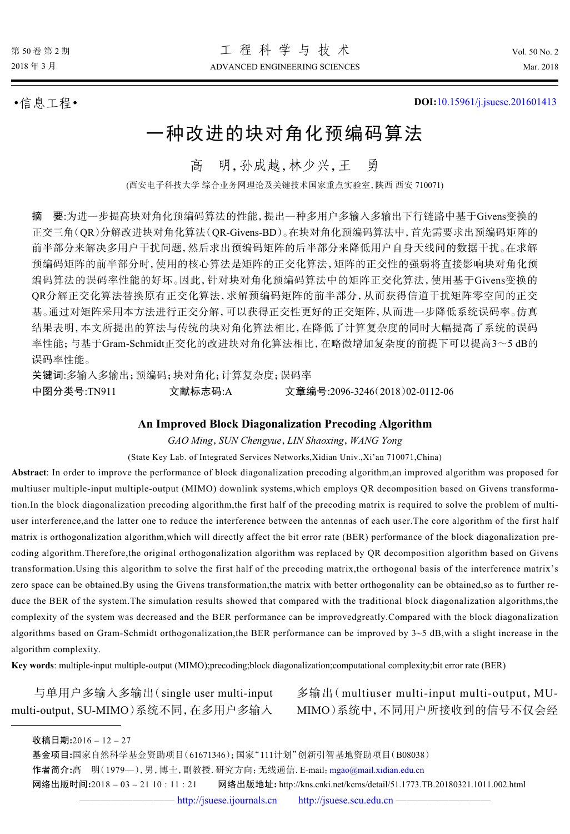•信息工程• **DOI:**[10.15961/j.jsuese.201601413](http://dx.doi.org/10.15961/j.jsuese.201601413)

# 一种改进的块对角化预编码算法

高 明,孙成越,林少兴,王 勇

(西安电子科技大学 综合业务网理论及关键技术国家重点实验室,陕西 西安 710071)

摘 要:为进一步提高块对角化预编码算法的性能,提出一种多用户多输入多输出下行链路中基于Givens变换的 正交三角(QR)分解改进块对角化算法(QR-Givens-BD)。在块对角化预编码算法中,首先需要求出预编码矩阵的 前半部分来解决多用户干扰问题,然后求出预编码矩阵的后半部分来降低用户自身天线间的数据干扰。在求解 预编码矩阵的前半部分时,使用的核心算法是矩阵的正交化算法,矩阵的正交性的强弱将直接影响块对角化预 编码算法的误码率性能的好坏。因此,针对块对角化预编码算法中的矩阵正交化算法,使用基于Givens变换的 QR分解正交化算法替换原有正交化算法,求解预编码矩阵的前半部分,从而获得信道干扰矩阵零空间的正交 基。通过对矩阵采用本方法进行正交分解,可以获得正交性更好的正交矩阵,从而进一步降低系统误码率。仿真 结果表明,本文所提出的算法与传统的块对角化算法相比,在降低了计算复杂度的同时大幅提高了系统的误码 率性能;与基于Gram-Schmidt正交化的改进块对角化算法相比,在略微增加复杂度的前提下可以提高3~5 dB的 误码率性能。

关键词:多输入多输出;预编码;块对角化;计算复杂度;误码率 中图分类号:TN911 文献标志码:A 文章编号:2096-3246(2018)02-0112-06

## **An Improved Block Diagonalization Precoding Algorithm**

*GAO Ming*,*SUN Chengyue*,*LIN Shaoxing*,*WANG Yong*

(State Key Lab. of Integrated Services Networks,Xidian Univ.,Xi'an 710071,China)

**Abstract**: In order to improve the performance of block diagonalization precoding algorithm,an improved algorithm was proposed for multiuser multiple-input multiple-output (MIMO) downlink systems,which employs QR decomposition based on Givens transformation.In the block diagonalization precoding algorithm,the first half of the precoding matrix is required to solve the problem of multiuser interference,and the latter one to reduce the interference between the antennas of each user.The core algorithm of the first half matrix is orthogonalization algorithm,which will directly affect the bit error rate (BER) performance of the block diagonalization precoding algorithm.Therefore,the original orthogonalization algorithm was replaced by QR decomposition algorithm based on Givens transformation.Using this algorithm to solve the first half of the precoding matrix,the orthogonal basis of the interference matrix's zero space can be obtained.By using the Givens transformation,the matrix with better orthogonality can be obtained,so as to further reduce the BER of the system. The simulation results showed that compared with the traditional block diagonalization algorithms, the complexity of the system was decreased and the BER performance can be improvedgreatly.Compared with the block diagonalization algorithms based on Gram-Schmidt orthogonalization, the BER performance can be improved by  $3\neg 5$  dB, with a slight increase in the algorithm complexity.

**Key words**: multiple-input multiple-output (MIMO);precoding;block diagonalization;computational complexity;bit error rate (BER)

与单用户多输入多输出(single user multi-input multi-output,SU-MIMO)系统不同,在多用户多输入

多输出(multiuser multi-input multi-output, MU-MIMO)系统中,不同用户所接收到的信号不仅会经

基金项目**:**国家自然科学基金资助项目(61671346);国家"111计划"创新引智基地资助项目(B08038)

作者简介**:**高 明(1979—),男,博士,副教授. 研究方向:无线通信. E-mail:[mgao@mail.xidian.edu.cn](mailto:mgao@mail.xidian.edu.cn)

网络出版时间**:**2018 – 03 – 21 10 : 11 : 21 网络出版地址**:** http://kns.cnki.net/kcms/detail/51.1773.TB.20180321.1011.002.html

收稿日期**:**2016 – 12 – 27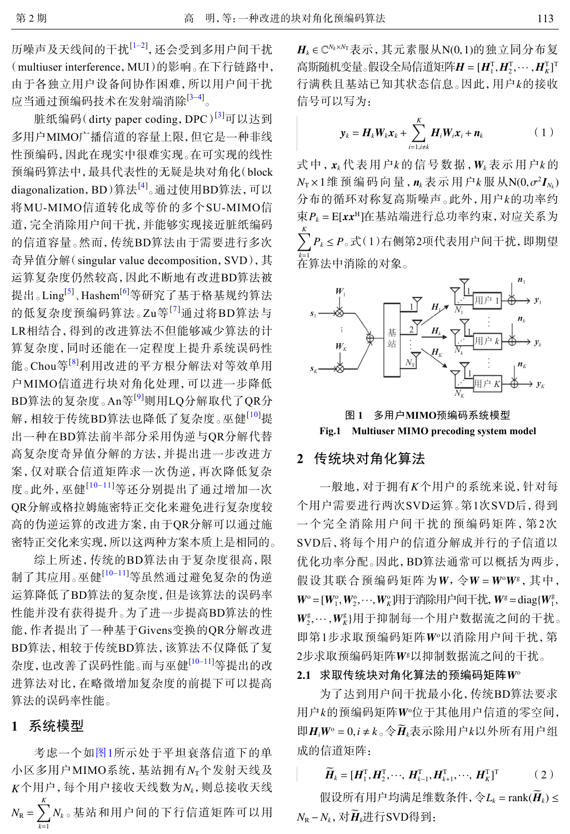历噪声及天线间的干扰<sup>[[1](#page-4-0)–[2\]](#page-4-1)</sup>, 还会受到多用户间干扰 (multiuser interference,MUI)的影响。在下行链路中, 由于各独立用户设备间协作困难,所以用户间干扰 应当通过预编码技术在发射端消除[[3](#page-4-2)–[4](#page-4-3)] 。

脏纸编码(dirty paper coding, DPC)<sup>[[3](#page-4-2)]</sup>可以达到 多用户MIMO广播信道的容量上限,但它是一种非线 性预编码,因此在现实中很难实现。在可实现的线性 预编码算法中,最具代表性的无疑是块对角化(block diagonalization, BD)算法<sup>[[4\]](#page-4-3)</sup>。通过使用BD算法, 可以 将MU-MIMO信道转化成等价的多个SU-MIMO信 道,完全消除用户间干扰,并能够实现接近脏纸编码 的信道容量。然而,传统BD算法由于需要进行多次 奇异值分解(singular value decomposition,SVD),其 运算复杂度仍然较高,因此不断地有改进BD算法被 提出。Ling<sup>[\[5\]](#page-4-4)</sup>、Hashem<sup>[[6\]](#page-5-0)</sup>等研究了基于格基规约算法 的低复杂度预编码算法。Zu等[[7](#page-5-1)]通过将BD算法与 LR相结合,得到的改进算法不但能够减少算法的计 算复杂度,同时还能在一定程度上提升系统误码性 能。Chou等<sup>[[8](#page-5-2)]</sup>利用改进的平方根分解法对等效单用 户MIMO信道进行块对角化处理,可以进一步降低 BD算法的复杂度。An等[[9](#page-5-3)]则用LQ分解取代了QR分 解,相较于传统BD算法也降低了复杂度。巫健<sup>[[10](#page-5-4)]</sup>提 出一种在BD算法前半部分采用伪逆与QR分解代替 高复杂度奇异值分解的方法,并提出进一步改进方 案,仅对联合信道矩阵求一次伪逆,再次降低复杂 度。此外,巫健[[10](#page-5-4)-[11](#page-5-5)]等还分别提出了通过增加一次 QR分解或格拉姆施密特正交化来避免进行复杂度较 高的伪逆运算的改进方案,由于QR分解可以通过施 密特正交化来实现,所以这两种方案本质上是相同的。

综上所述,传[统](#page-5-4)[的](#page-5-5)BD算法由于复杂度很高,限 制了其应用。巫健[\[10–](#page-5-4)[11](#page-5-5)]等虽然通过避免复杂的伪逆 运算降低了BD算法的复杂度,但是该算法的误码率 性能并没有获得提升。为了进一步提高BD算法的性 能,作者提出了一种基于Givens变换的QR分解改进 BD算法,相较于传统BD算法,该算[法](#page-5-4)[不](#page-5-5)仅降低了复 杂度,也改善了误码性能。而与巫健[\[10](#page-5-4)[–11](#page-5-5)]等提出的改 进算法对比,在略微增加复杂度的前提下可以提高 算法的误码率性能。

## **1** 系统模型

小区多用户MIMO系统,基站拥有 *N*r个发射天线及  $K$ 个用户,每个用户接收天线数为 $N_k$ ,则总接收天线  $N_{\rm R} = \sum_{k=1}^{K}$ *k*=1 *Nk* 。基站和用户间的下行信道矩阵可以用 考虑一个如[图](#page-1-0)[1](#page-1-0)所示处于平坦衰落信道下的单

 $\textbf{\emph{H}}_{\textit{k}}$ ∈ C<sup>N</sup>k×<sup>N</sup>T 表示,其元素服从N(0,1)的独立同分布复 高斯随机变量。假设全局信道矩阵 $\boldsymbol{H} = [\boldsymbol{H}_{1}^{\text{T}}, \boldsymbol{H}_{2}^{\text{T}}, \cdots, \boldsymbol{H}_{K}^{\text{T}}]^{\text{T}}$ 行满秩且基站已知其状态信息。因此,用户*k*的接收 信号可以写为:

$$
\mathbf{y}_k = \boldsymbol{H}_k \boldsymbol{W}_k \boldsymbol{x}_k + \sum_{i=1, i \neq k}^K \boldsymbol{H}_i \boldsymbol{W}_i \boldsymbol{x}_i + \boldsymbol{n}_k \tag{1}
$$

式中,  $\mathbf{x}_k$ 代表用户 $k$ 的信号数据,  $\mathbf{W}_k$ 表示用户 $k$ 的  $N_{\text{\tiny T}} \times 1$ 维 预 编 码 向 量 ,  $\boldsymbol{n}_k$  表 示 用 户 *k* 服 从 N(0, $\sigma^2 \boldsymbol{I}_{N_k}$ ) 分布的循环对称复高斯噪声。此外,用户*k*的功率约 束 $P_k$  = E[ $xx^{\text{H}}$ ]在基站端进行总功率约束, 对应关系为 ∑*K P<sup>k</sup>* ≤ *P* 。式(1)右侧第2项代表用户间干扰,即期望 *k*=1 在算法中消除的对象。

<span id="page-1-0"></span>

图 **1** 多用户**MIMO**预编码系统模型 **Fig.1 Multiuser MIMO precoding system model**

# **2** 传统块对角化算法

一般地, 对于拥有 K个用户的系统来说, 针对每 假设其联合预编码矩阵为W, 令W = W<sup>o</sup>W<sup>g</sup>, 其中,  $W^{\circ} = [W_1^{\circ}, W_2^{\circ}, \cdots, W_K^{\circ}]$ 用于消除用户间干扰,  $W^{\circ} = \text{diag}\{W_1^{\circ},$  $\bm{W}_{2}^{\mathrm{g}}, \cdots, \bm{W}_{K}^{\mathrm{g}}$ )用于抑制每一个用户数据流之间的干扰。 即第1步求取预编码矩阵W<sup>。</sup>以消除用户间干扰, 第 2步求取预编码矩阵W<sup>g</sup>以抑制数据流之间的干扰。 个用户需要进行两次SVD运算。第1次SVD后,得到 一个完全消除用户间干扰的预编码矩阵,第2次 SVD后,将每个用户的信道分解成并行的子信道以 优化功率分配。因此,BD算法通常可以概括为两步,

#### 2.1 求取传统块对角化算法的预编码矩阵W<sup>。</sup>

用户 k的预编码矩阵W°位于其他用户信道的零空间, 即 $H_iW^{\circ} = 0, i \neq k_{\circ}$ 令 $H_k$ 表示除用户 $k$ 以外所有用户组 为了达到用户间干扰最小化,传统BD算法要求 成的信道矩阵:

$$
\widetilde{\boldsymbol{H}}_k = [\boldsymbol{H}_1^{\mathrm{T}}, \boldsymbol{H}_2^{\mathrm{T}}, \cdots, \boldsymbol{H}_{k-1}^{\mathrm{T}}, \boldsymbol{H}_{k+1}^{\mathrm{T}}, \cdots, \boldsymbol{H}_K^{\mathrm{T}}]^{\mathrm{T}} \qquad (2)
$$

假设所有用户均满足维数条件,令 $L_k$  = rank( $\bar{\bm{H}}_k$ )≤  $N_{\rm R}$  −  $N_k$ , 对 $\overline{H}_k$ 进行SVD得到: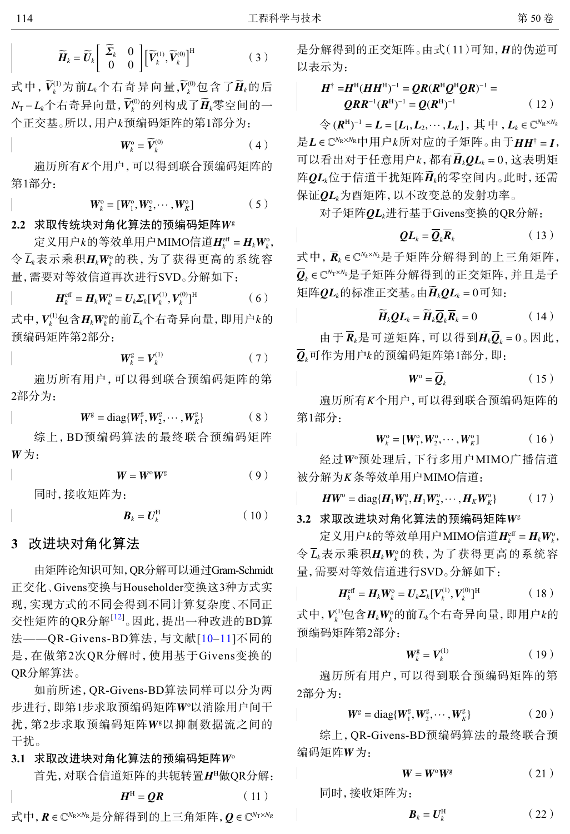$$
\widetilde{\boldsymbol{H}}_k = \widetilde{\boldsymbol{U}}_k \begin{bmatrix} \widetilde{\boldsymbol{\Sigma}}_k & 0 \\ 0 & 0 \end{bmatrix} \begin{bmatrix} \widetilde{\boldsymbol{V}}_k^{(1)}, \widetilde{\boldsymbol{V}}_k^{(0)} \end{bmatrix}^{\mathrm{H}}
$$
(3)

式中,  $\widetilde{V}_{k}^{(1)}$ 为前 $L_{k}$ 个右奇异向量, $\widetilde{V}_{k}^{(0)}$ 包含了 $\widetilde{H}_{k}$ 的后  $N_{\text{T}}$ −L<sub>k</sub>个右奇异向量, $\widetilde{V}_{k}^{(0)}$ 的列构成了 $\widetilde{\boldsymbol{H}}_{k}$ 零空间的一 个正交基。所以,用户*k*预编码矩阵的第1部分为:

$$
\boldsymbol{W}_{k}^{\mathrm{o}} = \widetilde{\boldsymbol{V}}_{k}^{(0)} \tag{4}
$$

遍历所有*K*个用户,可以得到联合预编码矩阵的 第1部分:

$$
W_k^{\text{o}} = [W_1^{\text{o}}, W_2^{\text{o}}, \cdots, W_K^{\text{o}}]
$$
 (5)

## 2.2 求取传统块对角化算法的预编码矩阵W<sup>g</sup>

定义用户 $k$ 的等效单用户MIMO信道 $\boldsymbol{H}_{k}^{\text{eff}} = \boldsymbol{H}_{k} \boldsymbol{W}_{k}^{\text{o}}$ ,  $\bigcirc \Phi$   $L_{k}$  表示乘积 $\boldsymbol{H}_{k} \boldsymbol{W}_{k}^{\mathrm{o}}$ 的秩, 为了获得更高的系统容 量,需要对等效信道再次进行SVD。分解如下:

$$
\boldsymbol{H}_{k}^{\text{eff}} = \boldsymbol{H}_{k} \boldsymbol{W}_{k}^{\text{o}} = \boldsymbol{U}_{k} \boldsymbol{\Sigma}_{k} [\boldsymbol{V}_{k}^{(1)}, \boldsymbol{V}_{k}^{(0)}]^{\text{H}}
$$
(6)

式中, $V_k^{(1)}$ 包含 $H_k W_k^{\circ}$ 的前 $\overline{L}_k$ 个右奇异向量,即用户 $k$ 的 预编码矩阵第2部分:

$$
\boldsymbol{W}_k^{\text{g}} = \boldsymbol{V}_k^{(1)} \tag{7}
$$

遍历所有用户,可以得到联合预编码矩阵的第 2部分为:

$$
W^{\rm g} = \text{diag}\{W_1^{\rm g}, W_2^{\rm g}, \cdots, W_K^{\rm g}\}\qquad (8)
$$

*W* 为: 综上,BD预编码算法的最终联合预编码矩阵

$$
W = W^{\circ}W^{\rm g} \tag{9}
$$

同时,接收矩阵为:

$$
\boldsymbol{B}_k = \boldsymbol{U}_k^{\mathrm{H}} \tag{10}
$$

# **3** 改进块对角化算法

由矩阵论知识可知,QR分解可以通过Gram-Schmidt 正交化、Givens变换与Householder变换这3种方式实 现,实现方式的不同会得到不同计算复杂度、不同正 交性矩阵的QR分解<sup>[[12](#page-5-6)]</sup>。因此, 提出一种改进的BD算 法——QR-Givens-BD算法,与文献[[10](#page-5-4)–[11](#page-5-5)]不同的 是,在做第2次QR分解时,使用基于Givens变换的 QR分解算法。

步进行, 即第1步求取预编码矩阵W°以消除用户间干 扰,第2步求取预编码矩阵W<sup>e</sup>以抑制数据流之间的 如前所述,QR-Givens-BD算法同样可以分为两 干扰。

## 3.1 求取改讲块对角化算法的预编码矩阵W<sup>o</sup>

首先,对联合信道矩阵的共轭转置 *H*<sup>H</sup>做QR分解:

$$
H^{\rm H} = QR \tag{11}
$$

式中, R ∈ C<sup>N</sup>R×NR是分解得到的上三角矩阵, Q ∈ C<sup>NT×NR</sup>

是分解得到的正交矩阵。由式(11)可知, *H*I的伪逆可 以表示为:

$$
H^{\dagger} = H^{\mathrm{H}} (HH^{\mathrm{H}})^{-1} = QR(R^{\mathrm{H}}Q^{\mathrm{H}}QR)^{-1} =
$$
  

$$
QRR^{-1}(R^{\mathrm{H}})^{-1} = Q(R^{\mathrm{H}})^{-1}
$$
 (12)

 $\bigoplus_{i=1}^{\infty}$   $(R^{\text{H}})^{-1}$  =  $L$  =  $[L_1, L_2, \cdots, L_K]$  , 其中,  $L_k \in \mathbb{C}^{N_{\text{R}} \times N_k}$ 是L∈C<sup>N</sup>R×NR中用户*k*所对应的子矩阵。由于HH<sup>†</sup> = *I*, 可以看出对于任意用户 $k$ ,都有 $H_kQL_k = 0$  ,这表明矩 阵QL*k*位于信道干扰矩阵H<sub>k</sub>的零空间内。此时,还需 保证QL<sub>k</sub>为酉矩阵,以不改变总的发射功率。

对子矩阵 *QLk*进行基于Givens变换的QR分解:

$$
QL_k = \overline{Q}_k \overline{R}_k \tag{13}
$$

式中, R<sub>k</sub>∈C<sup>N</sup>k×N<sub>′</sub>是子矩阵分解得到的上三角矩阵,  $\overline{\bm{Q}}_k$ ∈C<sup>N</sup>™×<sup>N</sup>ł是子矩阵分解得到的正交矩阵,并且是子 矩阵 $QL_k$ 的标准正交基。由 $H_kQL_k = 0$ 可知:

$$
\widetilde{H}_k Q L_k = \widetilde{H}_k \overline{Q}_k \overline{R}_k = 0 \qquad (14)
$$

由于  $R_k$ 是可逆矩阵, 可以得到 $H_k Q_k = 0$ 。因此,  $\bm{\mathit{Q}}_{\textit{k}}$ 可作为用户 $\textit{k}$ 的预编码矩阵第1部分,即:

$$
\mathbf{W}^{\circ} = \overline{\mathbf{Q}}_{k} \tag{15}
$$

遍历所有 *K* 个用户,可以得到联合预编码矩阵的 第1部分:

$$
W_k^{\circ} = [W_1^{\circ}, W_2^{\circ}, \cdots, W_K^{\circ}] \tag{16}
$$

经过W°预处理后,下行多用户MIMO广播信道 被分解为*K* 条等效单用户MIMO信道:

$$
HW^{\circ} = \text{diag}\{H_1W_1^{\circ}, H_1W_2^{\circ}, \cdots, H_KW_K^{\circ}\}\qquad (17)
$$

3.2 求取改进块对角化算法的预编码矩阵W<sup>g</sup>

定义用户 $k$ 的等效单用户MIMO信道 $\boldsymbol{H}^{\text{eff}}_k = \boldsymbol{H}_k \boldsymbol{W}^{\text{o}}_k$  $\triangleleft$   $L_{k}$ 表示乘积 $H_{k}W_{k}^{\circ}$ 的秩, 为了获得更高的系统容 量,需要对等效信道进行SVD。分解如下:

$$
\boldsymbol{H}_{k}^{\text{eff}} = \boldsymbol{H}_{k} \boldsymbol{W}_{k}^{\text{o}} = \boldsymbol{U}_{k} \boldsymbol{\Sigma}_{k} [\boldsymbol{V}_{k}^{(1)}, \boldsymbol{V}_{k}^{(0)}]^{\text{H}}
$$
(18)

式中, $\boldsymbol{V}_{k}^{\left( 1\right) }$ 包含 $\boldsymbol{H}_{k}\boldsymbol{W}_{k}^{\mathrm{o}}$ 的前 $\overline{L}_{k}$ 个右奇异向量,即用户 $k$ 的 预编码矩阵第2部分:

$$
\boldsymbol{W}_{k}^{\text{g}} = \boldsymbol{V}_{k}^{(1)} \tag{19}
$$

遍历所有用户,可以得到联合预编码矩阵的第 2部分为:

$$
\mathbf{W}^{\mathrm{g}} = \mathrm{diag}\{\mathbf{W}_{1}^{\mathrm{g}}, \mathbf{W}_{2}^{\mathrm{g}}, \cdots, \mathbf{W}_{K}^{\mathrm{g}}\}\
$$
 (20)

编码矩阵W为: 综上,QR-Givens-BD预编码算法的最终联合预

$$
W = W^{\circ}W^{\rm g} \tag{21}
$$

同时,接收矩阵为:

$$
\boldsymbol{B}_k = \boldsymbol{U}_k^{\mathrm{H}} \tag{22}
$$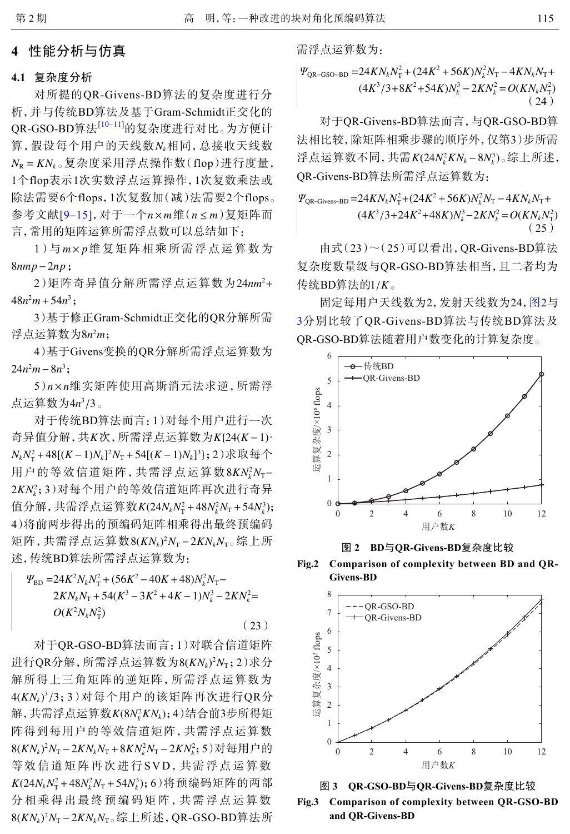## **4** 性能分析与仿真

#### **4.1** 复杂度分析

算, 假设每个用户的天线数 $N_k$ 相同, 总接收天线数 *N*<sup>R</sup> = *KN<sup>k</sup>* 。复杂度采用浮点操作数(flop)进行度量, <u>参考文献[[9](#page-5-3)–[15](#page-5-7)],</u> 对于一个n×m维(n≤m)复矩阵而 对所提的QR-Givens-BD算法的复杂度进行分 析,并与传统BD算法及基于Gram-Schmidt正交化的 QR-GSO-BD算法[[10–](#page-5-3)[11](#page-5-7)]的复杂度进行对比。为方便计 1个flop表示1次实数浮点运算操作,1次复数乘法或 除法需要6个flops,1次复数加(减)法需要2个flops。 言,常用的矩阵运算所需浮点数可以总结如下:

1)与m×p维复矩阵相乘所需浮点运算数为 8*nmp*−2*np* ;

2)矩阵奇异值分解所需浮点运算数为24*nm*<sup>2</sup>+  $48n^2m+54n^3$ ;

浮点运算数为8*n<sup>2</sup>m*; 3)基于修正Gram-Schmidt正交化的QR分解所需

 $24n^2m - 8n^3;$ 4)基于Givens变换的QR分解所需浮点运算数为

5)n×n维实矩阵使用高斯消元法求逆,所需浮 点运算数为4*n*3/3。

奇异值分解,共*K*次,所需浮点运算数为*K*{24(*K*-1) ·  $N_k N_{\rm T}^2$ +48[(*K* − 1) $N_k$ ]<sup>2</sup> $N_{\rm T}$  +54[(*K* − 1) $N_k$ ]<sup>3</sup>}; 2)求取每个 用户的等效信道矩阵,共需浮点运算数8KN<sub>k</sub>N<sub>T</sub>− 2*KN*<sup>2</sup> *k* ;3)对每个用户的等效信道矩阵再次进行奇异 值分解,共需浮点运算数 $K(24N_kN_{\rm T}^2+48N_k^2N_{\rm T}+54N_k^3);$ 矩阵,共需浮点运算数8(KNk)<sup>2</sup>N<sub>T</sub>-2KNkN<sub>T</sub>。综上所 对于传统BD算法而言:1)对每个用户进行一次 4)将前两步得出的预编码矩阵相乘得出最终预编码 述,传统BD算法所需浮点运算数为:

$$
\Psi_{\text{BD}} = 24K^2 N_k N_{\text{T}}^2 + (56K^2 - 40K + 48)N_k^2 N_{\text{T}} - 2KN_k N_{\text{T}} + 54(K^3 - 3K^2 + 4K - 1)N_k^3 - 2KN_k^2 = 0(K^2 N_k N_{\text{T}}^2)
$$
\n(23)

进行QR分解,所需浮点运算数为8( $KN_k$ )<sup>2</sup> $N_{\text{T}}$ ;2)求分 4(KNk)<sup>3</sup>/3;3)对每个用户的该矩阵再次进行QR分  $\#$ ,共需浮点运算数 $\emph{K}(8N_k^2KN_k);4$ )结合前3步所得矩 8(*KNk*) <sup>2</sup>*N*<sup>T</sup> −2*KNkN*<sup>T</sup> +8*KN*<sup>2</sup> *<sup>k</sup> N*<sup>T</sup> −2*KN*<sup>2</sup> *k* ;5)对每用户的  $K(24N_kN_{\rm T}^2+48N_k^2N_{\rm T}+54N_k^3)$ ; 6)将预编码矩阵的两部 8(*KNk*) <sup>2</sup>*N*<sup>T</sup> −2*KNkN*<sup>T</sup> 。综上所述,QR-GSO-BD算法所 对于QR-GSO-BD算法而言:1)对联合信道矩阵 解所得上三角矩阵的逆矩阵,所需浮点运算数为 阵得到每用户的等效信道矩阵,共需浮点运算数 等效信道矩阵再次进行 SVD,共需浮点运算数 分相乘得出最终预编码矩阵,共需浮点运算数 需浮点运算数为:

$$
\Psi_{\text{QR-GSO-BD}} = 24KN_kN_{\text{T}}^2 + (24K^2 + 56K)N_k^2N_{\text{T}} - 4KN_kN_{\text{T}} + (4K^3/3 + 8K^2 + 54K)N_k^3 - 2KN_k^2 = O(KN_kN_{\text{T}}^2)
$$
\n(24)

浮点运算数不同,共需*K*(24*N<sub>k</sub>KN<sub>k</sub>−8N<sub>k</sub>)。综上所述,* 对于QR-Givens-BD算法而言,与QR-GSO-BD算 法相比较,除矩阵相乘步骤的顺序外,仅第3)步所需 QR-Givens-BD算法所需浮点运算数为:

$$
\Psi_{\text{QR-Givens-BD}} = 24KN_kN_{\text{T}}^2 + (24K^2 + 56K)N_k^2N_{\text{T}} - 4KN_kN_{\text{T}} + (4K^3/3 + 24K^2 + 48K)N_k^3 - 2KN_k^2 = O(KN_kN_{\text{T}}^2)
$$
\n(25)

传统BD算法的1/*K* 。 由式(23)~(25)可以看出,QR-Givens-BD算法 复杂度数量级与QR-GSO-BD算法相当,且二者均为

固定每用户天线数为2,发射天线数为24,[图](#page-3-0)[2](#page-3-0)与 [3](#page-3-1)分别比较了QR-Givens-BD算法与传统BD算法及 QR-GSO-BD算法随着用户数变化的计算复杂度。

<span id="page-3-0"></span>

图 **2 BD**与**QR-Givens-BD**复杂度比较



<span id="page-3-1"></span>



**Fig.3 Comparison of complexity between QR-GSO-BD and QR-Givens-BD**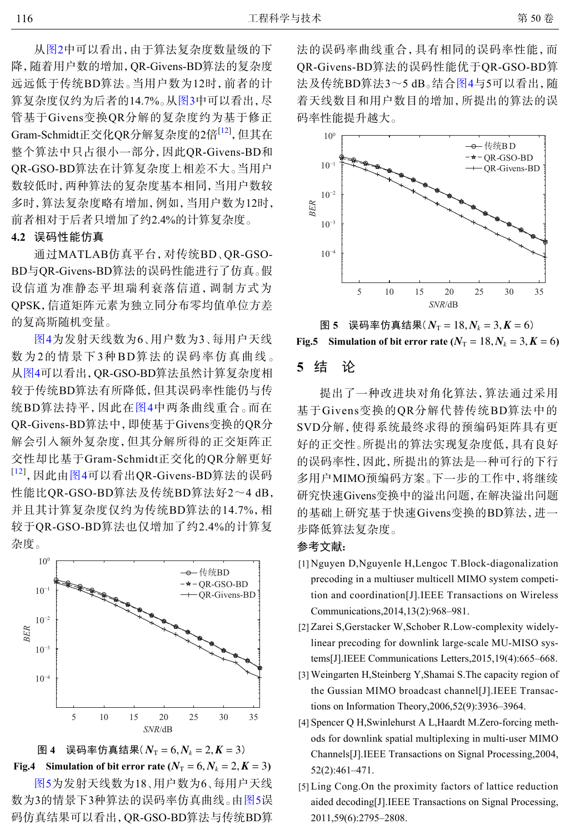从[图](#page-3-0)[2](#page-3-0)中可以看出,由于算法复杂度数量级的下 降,随着用户数的增加,QR-Givens-BD算法的复杂度 远远低于传统BD算法。当用户数为12时,前者的计 算复杂度仅约为后者的14.7%。从[图](#page-3-1)[3](#page-3-1)中可以看出,尽 管基于Givens变换QR分解的复杂度约为基于修正 Gram-Schmidt正交化QR分解复杂度的2倍<sup>[\[12](#page-5-6)]</sup>, 但其在 整个算法中只占很小一部分,因此QR-Givens-BD和 QR-GSO-BD算法在计算复杂度上相差不大。当用户 数较低时,两种算法的复杂度基本相同,当用户数较 多时,算法复杂度略有增加,例如,当用户数为12时, 前者相对于后者只增加了约2.4%的计算复杂度。

#### **4.2** 误码性能仿真

通过MATLAB仿真平台,对传统BD、QR-GSO-BD与QR-Givens-BD算法的误码性能进行了仿真。假 设信道为准静态平坦瑞利衰落信道,调制方式为 QPSK,信道矩阵元素为独立同分布零均值单位方差 的复高斯随机变量。

[图](#page-4-5)[4](#page-4-5)为发射天线数为6、用户数为3、每用户天线 数为2的情景下3种BD算法的误码率仿真曲线。 从[图](#page-4-5)[4](#page-4-5)可以看出,QR-GSO-BD算法虽然计算复杂度相 较于传统BD算法有所降低,但其误码率性能仍与传 统BD算法持平,因此在[图](#page-4-5)[4](#page-4-5)中两条曲线重合。而在 QR-Givens-BD算法中,即使基于Givens变换的QR分 解会引入额外复杂度,但其分解所得的正交矩阵正 交性却比基于Gram-Schmidt正交化的QR分解更好 <sup>[[12](#page-5-6)]</sup>, 因此由[图](#page-4-5)[4](#page-4-5)可以看出QR-Givens-BD算法的误码 性能比QR-GSO-BD算法及传统BD算法好2~4 dB, 并且其计算复杂度仅约为传统BD算法的14.7%,相 较于QR-GSO-BD算法也仅增加了约2.4%的计算复 杂度。

<span id="page-4-5"></span>

图 4 误码率仿真结果 $(N_T = 6, N_k = 2, K = 3)$ **Fig.4** Simulation of bit error rate ( $N_T = 6$ ,  $N_k = 2$ ,  $K = 3$ )

[图](#page-4-6)[5](#page-4-6)为发射天线数为18、用户数为6、每用户天线 数为3的情景下3种算法的误码率仿真曲线。由[图](#page-4-6)[5](#page-4-6)误 码仿真结果可以看出,QR-GSO-BD算法与传统BD算 法的误码率曲线重合,具有相同的误码率性能,而 QR-Givens-BD算法的误码性能优于QR-GSO-BD算 法及传统BD算法3~5 dB。结合[图](#page-4-5)[4](#page-4-5)与5可以看出,随 着天线数目和用户数目的增加,所提出的算法的误 码率性能提升越大。

<span id="page-4-6"></span>



## **5** 结 论

提出了一种改进块对角化算法,算法通过采用 基于Givens变换的QR分解代替传统BD算法中的 SVD分解,使得系统最终求得的预编码矩阵具有更 好的正交性。所提出的算法实现复杂度低,具有良好 的误码率性,因此,所提出的算法是一种可行的下行 多用户MIMO预编码方案。下一步的工作中,将继续 研究快速Givens变换中的溢出问题,在解决溢出问题 的基础上研究基于快速Givens变换的BD算法,进一 步降低算法复杂度。

### 参考文献:

- <span id="page-4-0"></span>Nguyen D,Nguyenle H,Lengoc T.Block-diagonalization [1] precoding in a multiuser multicell MIMO system competition and coordination[J].IEEE Transactions on Wireless Communications,2014,13(2):968–981.
- <span id="page-4-1"></span>[2] Zarei S, Gerstacker W, Schober R. Low-complexity widelylinear precoding for downlink large-scale MU-MISO systems[J].IEEE Communications Letters,2015,19(4):665–668.
- <span id="page-4-2"></span>Weingarten H,Steinberg Y,Shamai S.The capacity region of [3] the Gussian MIMO broadcast channel[J].IEEE Transactions on Information Theory,2006,52(9):3936–3964.
- <span id="page-4-3"></span>[4] Spencer Q H, Swinlehurst A L, Haardt M. Zero-forcing methods for downlink spatial multiplexing in multi-user MIMO Channels[J].IEEE Transactions on Signal Processing,2004, 52(2):461–471.
- <span id="page-4-4"></span>[5] Ling Cong. On the proximity factors of lattice reduction aided decoding[J].IEEE Transactions on Signal Processing, 2011,59(6):2795–2808.